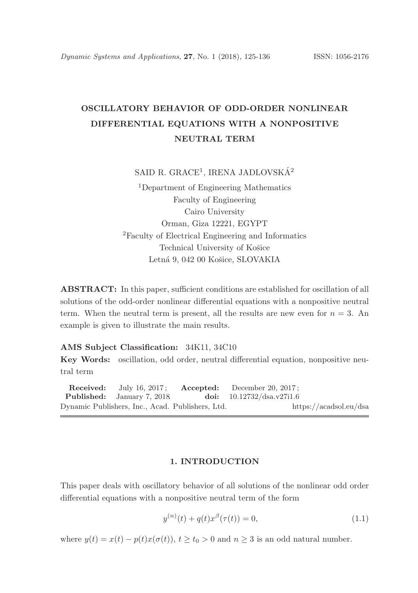# OSCILLATORY BEHAVIOR OF ODD-ORDER NONLINEAR DIFFERENTIAL EQUATIONS WITH A NONPOSITIVE NEUTRAL TERM

SAID R. GRACE<sup>1</sup>, IRENA JADLOVSKÁ<sup>2</sup>

<sup>1</sup>Department of Engineering Mathematics Faculty of Engineering Cairo University Orman, Giza 12221, EGYPT <sup>2</sup>Faculty of Electrical Engineering and Informatics Technical University of Košice Letná 9, 042 00 Košice, SLOVAKIA

ABSTRACT: In this paper, sufficient conditions are established for oscillation of all solutions of the odd-order nonlinear differential equations with a nonpositive neutral term. When the neutral term is present, all the results are new even for  $n = 3$ . An example is given to illustrate the main results.

### AMS Subject Classification: 34K11, 34C10

Key Words: oscillation, odd order, neutral differential equation, nonpositive neutral term

**Received:** July 16, 2017; **Accepted:** December 20, 2017;<br> **Published:** January 7, 2018 **doi:**  $10.12732/\text{dsa.v27i1.6}$ Published: January 7, 2018. Dynamic Publishers, Inc., Acad. Publishers, Ltd. https://acadsol.eu/dsa

## 1. INTRODUCTION

This paper deals with oscillatory behavior of all solutions of the nonlinear odd order differential equations with a nonpositive neutral term of the form

$$
y^{(n)}(t) + q(t)x^{\beta}(\tau(t)) = 0,
$$
\n(1.1)

where  $y(t) = x(t) - p(t)x(\sigma(t))$ ,  $t \ge t_0 > 0$  and  $n \ge 3$  is an odd natural number.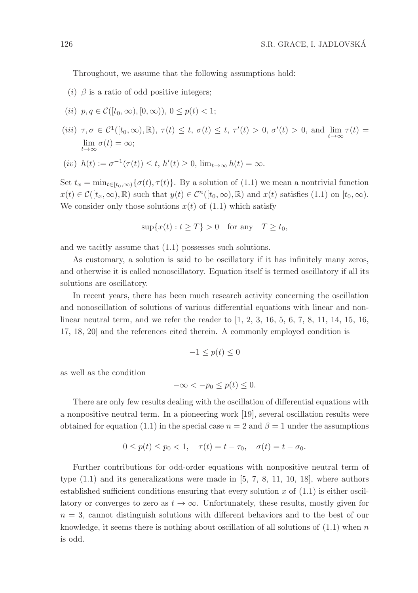Throughout, we assume that the following assumptions hold:

- (i)  $\beta$  is a ratio of odd positive integers;
- (ii)  $p, q \in \mathcal{C}([t_0, \infty), [0, \infty))$ ,  $0 \leq p(t) < 1$ ;
- (iii)  $\tau, \sigma \in C^1([t_0, \infty), \mathbb{R})$ ,  $\tau(t) \leq t$ ,  $\sigma(t) \leq t$ ,  $\tau'(t) > 0$ ,  $\sigma'(t) > 0$ , and  $\lim_{t \to \infty} \tau(t) =$  $\lim_{t\to\infty}\sigma(t) = \infty;$
- (iv)  $h(t) := \sigma^{-1}(\tau(t)) \le t, h'(t) \ge 0, \lim_{t \to \infty} h(t) = \infty.$

Set  $t_x = \min_{t \in [t_0,\infty)} {\{\sigma(t), \tau(t)\}}$ . By a solution of (1.1) we mean a nontrivial function  $x(t) \in \mathcal{C}([t_x,\infty),\mathbb{R})$  such that  $y(t) \in \mathcal{C}^n([t_0,\infty),\mathbb{R})$  and  $x(t)$  satisfies  $(1.1)$  on  $[t_0,\infty)$ . We consider only those solutions  $x(t)$  of  $(1.1)$  which satisfy

$$
\sup\{x(t): t \ge T\} > 0 \quad \text{for any} \quad T \ge t_0,
$$

and we tacitly assume that (1.1) possesses such solutions.

As customary, a solution is said to be oscillatory if it has infinitely many zeros, and otherwise it is called nonoscillatory. Equation itself is termed oscillatory if all its solutions are oscillatory.

In recent years, there has been much research activity concerning the oscillation and nonoscillation of solutions of various differential equations with linear and nonlinear neutral term, and we refer the reader to [1, 2, 3, 16, 5, 6, 7, 8, 11, 14, 15, 16, 17, 18, 20] and the references cited therein. A commonly employed condition is

$$
-1 \le p(t) \le 0
$$

as well as the condition

$$
-\infty < -p_0 \le p(t) \le 0.
$$

There are only few results dealing with the oscillation of differential equations with a nonpositive neutral term. In a pioneering work [19], several oscillation results were obtained for equation (1.1) in the special case  $n = 2$  and  $\beta = 1$  under the assumptions

$$
0 \le p(t) \le p_0 < 1, \quad \tau(t) = t - \tau_0, \quad \sigma(t) = t - \sigma_0.
$$

Further contributions for odd-order equations with nonpositive neutral term of type  $(1.1)$  and its generalizations were made in  $[5, 7, 8, 11, 10, 18]$ , where authors established sufficient conditions ensuring that every solution x of  $(1.1)$  is either oscillatory or converges to zero as  $t \to \infty$ . Unfortunately, these results, mostly given for  $n = 3$ , cannot distinguish solutions with different behaviors and to the best of our knowledge, it seems there is nothing about oscillation of all solutions of  $(1.1)$  when n is odd.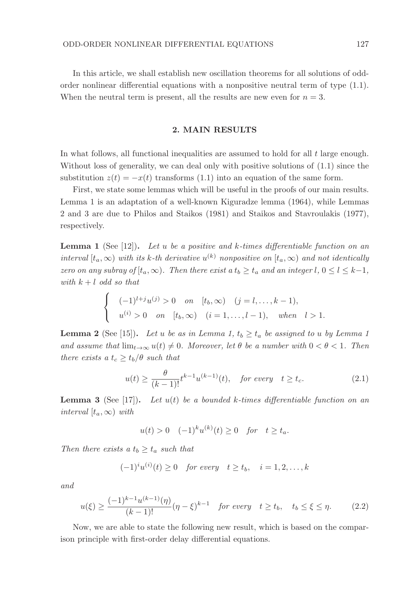In this article, we shall establish new oscillation theorems for all solutions of oddorder nonlinear differential equations with a nonpositive neutral term of type (1.1). When the neutral term is present, all the results are new even for  $n = 3$ .

### 2. MAIN RESULTS

In what follows, all functional inequalities are assumed to hold for all  $t$  large enough. Without loss of generality, we can deal only with positive solutions of (1.1) since the substitution  $z(t) = -x(t)$  transforms (1.1) into an equation of the same form.

First, we state some lemmas which will be useful in the proofs of our main results. Lemma 1 is an adaptation of a well-known Kiguradze lemma (1964), while Lemmas 2 and 3 are due to Philos and Staikos (1981) and Staikos and Stavroulakis (1977), respectively.

**Lemma 1** (See [12]). Let u be a positive and k-times differentiable function on an interval  $[t_a,\infty)$  with its k-th derivative  $u^{(k)}$  nonpositive on  $[t_a,\infty)$  and not identically zero on any subray of  $[t_a,\infty)$ . Then there exist a  $t_b \ge t_a$  and an integer  $l, 0 \le l \le k-1$ , with  $k + l$  odd so that

$$
\begin{cases}\n(-1)^{l+j}u^{(j)} > 0 \quad on \quad [t_b, \infty) \quad (j = l, \dots, k-1), \\
u^{(i)} > 0 \quad on \quad [t_b, \infty) \quad (i = 1, \dots, l-1), \quad when \quad l > 1.\n\end{cases}
$$

**Lemma 2** (See [15]). Let u be as in Lemma 1,  $t_b \geq t_a$  be assigned to u by Lemma 1 and assume that  $\lim_{t\to\infty} u(t) \neq 0$ . Moreover, let  $\theta$  be a number with  $0 < \theta < 1$ . Then there exists a  $t_c \ge t_b/\theta$  such that

$$
u(t) \ge \frac{\theta}{(k-1)!} t^{k-1} u^{(k-1)}(t), \quad \text{for every} \quad t \ge t_c. \tag{2.1}
$$

**Lemma 3** (See [17]). Let  $u(t)$  be a bounded k-times differentiable function on an interval  $[t_a,\infty)$  with

$$
u(t) > 0 \quad (-1)^k u^{(k)}(t) \ge 0 \quad \text{for} \quad t \ge t_a.
$$

Then there exists a  $t_b \geq t_a$  such that

$$
(-1)^{i}u^{(i)}(t) \ge 0 \quad \text{for every} \quad t \ge t_b, \quad i = 1, 2, \dots, k
$$

and

$$
u(\xi) \ge \frac{(-1)^{k-1} u^{(k-1)}(\eta)}{(k-1)!} (\eta - \xi)^{k-1} \quad \text{for every} \quad t \ge t_b, \quad t_b \le \xi \le \eta. \tag{2.2}
$$

Now, we are able to state the following new result, which is based on the comparison principle with first-order delay differential equations.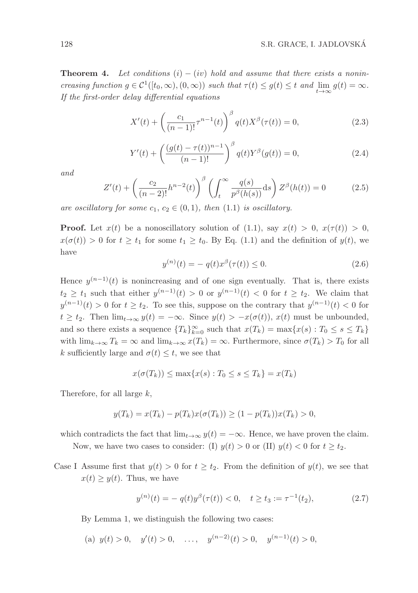**Theorem 4.** Let conditions (i) – (iv) hold and assume that there exists a nonincreasing function  $g \in C^1([t_0, \infty), (0, \infty))$  such that  $\tau(t) \leq g(t) \leq t$  and  $\lim_{t \to \infty} g(t) = \infty$ . If the first-order delay differential equations

$$
X'(t) + \left(\frac{c_1}{(n-1)!}\tau^{n-1}(t)\right)^{\beta}q(t)X^{\beta}(\tau(t)) = 0,
$$
\n(2.3)

$$
Y'(t) + \left(\frac{(g(t) - \tau(t))^{n-1}}{(n-1)!}\right)^{\beta} q(t) Y^{\beta}(g(t)) = 0,
$$
\n(2.4)

and

$$
Z'(t) + \left(\frac{c_2}{(n-2)!}h^{n-2}(t)\right)^{\beta} \left(\int_t^{\infty} \frac{q(s)}{p^{\beta}(h(s))}ds\right) Z^{\beta}(h(t)) = 0 \tag{2.5}
$$

are oscillatory for some  $c_1, c_2 \in (0,1)$ , then  $(1.1)$  is oscillatory.

**Proof.** Let  $x(t)$  be a nonoscillatory solution of (1.1), say  $x(t) > 0$ ,  $x(\tau(t)) > 0$ ,  $x(\sigma(t)) > 0$  for  $t \geq t_1$  for some  $t_1 \geq t_0$ . By Eq. (1.1) and the definition of  $y(t)$ , we have

$$
y^{(n)}(t) = -q(t)x^{\beta}(\tau(t)) \le 0.
$$
\n(2.6)

Hence  $y^{(n-1)}(t)$  is nonincreasing and of one sign eventually. That is, there exists  $t_2 \geq t_1$  such that either  $y^{(n-1)}(t) > 0$  or  $y^{(n-1)}(t) < 0$  for  $t \geq t_2$ . We claim that  $y^{(n-1)}(t) > 0$  for  $t \geq t_2$ . To see this, suppose on the contrary that  $y^{(n-1)}(t) < 0$  for  $t \geq t_2$ . Then  $\lim_{t \to \infty} y(t) = -\infty$ . Since  $y(t) > -x(\sigma(t))$ ,  $x(t)$  must be unbounded, and so there exists a sequence  ${T_k}_{k=0}^{\infty}$  such that  $x(T_k) = \max\{x(s) : T_0 \leq s \leq T_k\}$ with  $\lim_{k\to\infty} T_k = \infty$  and  $\lim_{k\to\infty} x(T_k) = \infty$ . Furthermore, since  $\sigma(T_k) > T_0$  for all k sufficiently large and  $\sigma(t) \leq t$ , we see that

$$
x(\sigma(T_k)) \le \max\{x(s) : T_0 \le s \le T_k\} = x(T_k)
$$

Therefore, for all large  $k$ ,

$$
y(T_k) = x(T_k) - p(T_k)x(\sigma(T_k)) \ge (1 - p(T_k))x(T_k) > 0,
$$

which contradicts the fact that  $\lim_{t\to\infty} y(t) = -\infty$ . Hence, we have proven the claim.

Now, we have two cases to consider: (I)  $y(t) > 0$  or (II)  $y(t) < 0$  for  $t \ge t_2$ .

Case I Assume first that  $y(t) > 0$  for  $t \geq t_2$ . From the definition of  $y(t)$ , we see that  $x(t) \geq y(t)$ . Thus, we have

$$
y^{(n)}(t) = -q(t)y^{\beta}(\tau(t)) < 0, \quad t \ge t_3 := \tau^{-1}(t_2),\tag{2.7}
$$

By Lemma 1, we distinguish the following two cases:

(a)  $y(t) > 0$ ,  $y'(t) > 0$ , ...,  $y^{(n-2)}(t) > 0$ ,  $y^{(n-1)}(t) > 0$ ,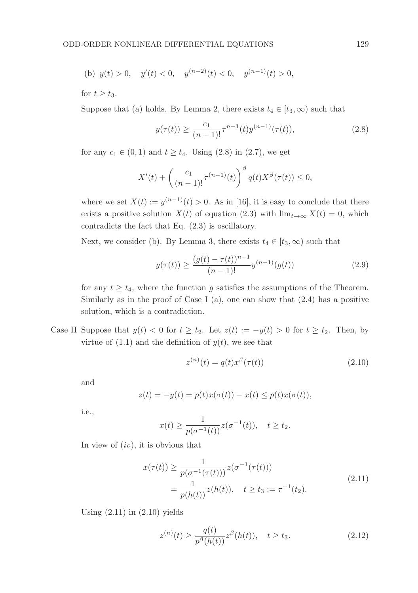(b) 
$$
y(t) > 0
$$
,  $y'(t) < 0$ ,  $y^{(n-2)}(t) < 0$ ,  $y^{(n-1)}(t) > 0$ ,

for  $t \geq t_3$ .

Suppose that (a) holds. By Lemma 2, there exists  $t_4 \in [t_3, \infty)$  such that

$$
y(\tau(t)) \ge \frac{c_1}{(n-1)!} \tau^{n-1}(t) y^{(n-1)}(\tau(t)),
$$
\n(2.8)

for any  $c_1 \in (0, 1)$  and  $t \ge t_4$ . Using  $(2.8)$  in  $(2.7)$ , we get

$$
X'(t) + \left(\frac{c_1}{(n-1)!} \tau^{(n-1)}(t)\right)^{\beta} q(t) X^{\beta}(\tau(t)) \le 0,
$$

where we set  $X(t) := y^{(n-1)}(t) > 0$ . As in [16], it is easy to conclude that there exists a positive solution  $X(t)$  of equation (2.3) with  $\lim_{t\to\infty} X(t) = 0$ , which contradicts the fact that Eq. (2.3) is oscillatory.

Next, we consider (b). By Lemma 3, there exists  $t_4 \in [t_3, \infty)$  such that

$$
y(\tau(t)) \ge \frac{(g(t) - \tau(t))^{n-1}}{(n-1)!} y^{(n-1)}(g(t))
$$
\n(2.9)

for any  $t \geq t_4$ , where the function g satisfies the assumptions of the Theorem. Similarly as in the proof of Case I (a), one can show that  $(2.4)$  has a positive solution, which is a contradiction.

Case II Suppose that  $y(t) < 0$  for  $t \ge t_2$ . Let  $z(t) := -y(t) > 0$  for  $t \ge t_2$ . Then, by virtue of  $(1.1)$  and the definition of  $y(t)$ , we see that

$$
z^{(n)}(t) = q(t)x^{\beta}(\tau(t))
$$
\n(2.10)

and

$$
z(t) = -y(t) = p(t)x(\sigma(t)) - x(t) \le p(t)x(\sigma(t)),
$$

i.e.,

$$
x(t) \ge \frac{1}{p(\sigma^{-1}(t))} z(\sigma^{-1}(t)), \quad t \ge t_2.
$$

In view of  $(iv)$ , it is obvious that

$$
x(\tau(t)) \ge \frac{1}{p(\sigma^{-1}(\tau(t)))} z(\sigma^{-1}(\tau(t)))
$$
  
= 
$$
\frac{1}{p(h(t))} z(h(t)), \quad t \ge t_3 := \tau^{-1}(t_2).
$$
 (2.11)

Using  $(2.11)$  in  $(2.10)$  yields

$$
z^{(n)}(t) \ge \frac{q(t)}{p^{\beta}(h(t))} z^{\beta}(h(t)), \quad t \ge t_3.
$$
 (2.12)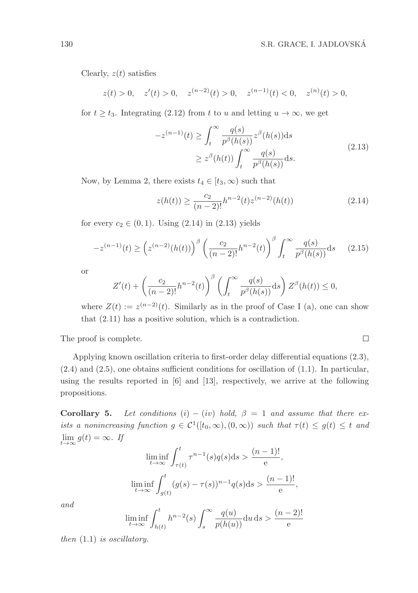$\Box$ 

Clearly,  $z(t)$  satisfies

$$
z(t) > 0
$$
,  $z'(t) > 0$ ,  $z^{(n-2)}(t) > 0$ ,  $z^{(n-1)}(t) < 0$ ,  $z^{(n)}(t) > 0$ ,

for  $t \geq t_3$ . Integrating (2.12) from t to u and letting  $u \to \infty$ , we get

$$
-z^{(n-1)}(t) \ge \int_t^{\infty} \frac{q(s)}{p^{\beta}(h(s))} z^{\beta}(h(s)) ds
$$
  
 
$$
\ge z^{\beta}(h(t)) \int_t^{\infty} \frac{q(s)}{p^{\beta}(h(s))} ds.
$$
 (2.13)

Now, by Lemma 2, there exists  $t_4 \in [t_3, \infty)$  such that

$$
z(h(t)) \ge \frac{c_2}{(n-2)!} h^{n-2}(t) z^{(n-2)}(h(t))
$$
\n(2.14)

for every  $c_2 \in (0, 1)$ . Using  $(2.14)$  in  $(2.13)$  yields

$$
-z^{(n-1)}(t) \ge \left(z^{(n-2)}(h(t))\right)^{\beta} \left(\frac{c_2}{(n-2)!}h^{n-2}(t)\right)^{\beta} \int_t^{\infty} \frac{q(s)}{p^{\beta}(h(s))}ds \qquad (2.15)
$$

or

$$
Z'(t) + \left(\frac{c_2}{(n-2)!}h^{n-2}(t)\right)^{\beta} \left(\int_t^{\infty} \frac{q(s)}{p^{\beta}(h(s))}ds\right) Z^{\beta}(h(t)) \le 0,
$$

where  $Z(t) := z^{(n-2)}(t)$ . Similarly as in the proof of Case I (a), one can show that (2.11) has a positive solution, which is a contradiction.

The proof is complete.

Applying known oscillation criteria to first-order delay differential equations (2.3),  $(2.4)$  and  $(2.5)$ , one obtains sufficient conditions for oscillation of  $(1.1)$ . In particular, using the results reported in [6] and [13], respectively, we arrive at the following propositions.

Corollary 5. Let conditions  $(i) - (iv)$  hold,  $\beta = 1$  and assume that there exists a nonincreasing function  $g \in C^1([t_0,\infty),(0,\infty))$  such that  $\tau(t) \leq g(t) \leq t$  and  $\lim_{t\to\infty} g(t) = \infty$ . If

$$
\liminf_{t \to \infty} \int_{\tau(t)}^t \tau^{n-1}(s)q(s)ds > \frac{(n-1)!}{e},
$$
  

$$
\liminf_{t \to \infty} \int_{g(t)}^t (g(s) - \tau(s))^{n-1}q(s)ds > \frac{(n-1)!}{e},
$$

and

$$
\liminf_{t \to \infty} \int_{h(t)}^t h^{n-2}(s) \int_s^\infty \frac{q(u)}{p(h(u))} \mathrm{d}u \, \mathrm{d}s > \frac{(n-2)!}{e}
$$

then  $(1.1)$  is oscillatory.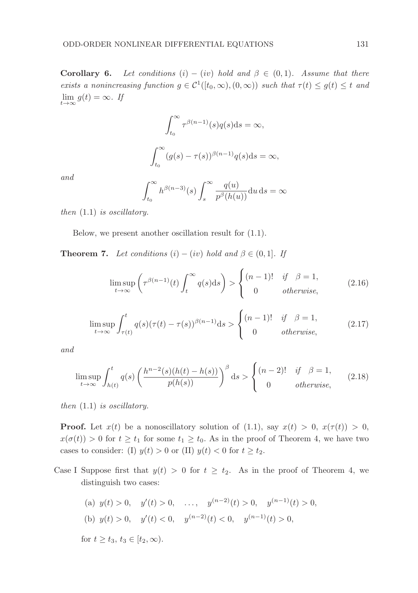**Corollary 6.** Let conditions  $(i) - (iv)$  hold and  $\beta \in (0,1)$ . Assume that there exists a nonincreasing function  $g \in C^1([t_0,\infty),(0,\infty))$  such that  $\tau(t) \leq g(t) \leq t$  and  $\lim_{t\to\infty} g(t) = \infty$ . If

$$
\int_{t_0}^{\infty} \tau^{\beta(n-1)}(s)q(s)ds = \infty,
$$
  

$$
\int_{t_0}^{\infty} (g(s) - \tau(s))^{\beta(n-1)}q(s)ds = \infty,
$$

and

$$
\int_{t_0}^{\infty} h^{\beta(n-3)}(s) \int_s^{\infty} \frac{q(u)}{p^{\beta}(h(u))} \mathrm{d}u \, \mathrm{d}s = \infty
$$

then (1.1) is oscillatory.

Below, we present another oscillation result for (1.1).

**Theorem 7.** Let conditions  $(i) - (iv)$  hold and  $\beta \in (0, 1]$ . If

$$
\limsup_{t \to \infty} \left( \tau^{\beta(n-1)}(t) \int_t^{\infty} q(s) \, ds \right) > \begin{cases} (n-1)! & \text{if } \beta = 1, \\ 0 & \text{otherwise,} \end{cases} \tag{2.16}
$$

$$
\limsup_{t \to \infty} \int_{\tau(t)}^t q(s) (\tau(t) - \tau(s))^{\beta(n-1)} ds > \begin{cases} (n-1)! & \text{if } \beta = 1, \\ 0 & \text{otherwise,} \end{cases}
$$
 (2.17)

and

$$
\limsup_{t \to \infty} \int_{h(t)}^t q(s) \left( \frac{h^{n-2}(s)(h(t) - h(s))}{p(h(s))} \right)^\beta ds > \begin{cases} (n-2)! & \text{if } \beta = 1, \\ 0 & \text{otherwise,} \end{cases}
$$
 (2.18)

then (1.1) is oscillatory.

**Proof.** Let  $x(t)$  be a nonoscillatory solution of (1.1), say  $x(t) > 0$ ,  $x(\tau(t)) > 0$ ,  $x(\sigma(t)) > 0$  for  $t \geq t_1$  for some  $t_1 \geq t_0$ . As in the proof of Theorem 4, we have two cases to consider: (I)  $y(t) > 0$  or (II)  $y(t) < 0$  for  $t \geq t_2$ .

Case I Suppose first that  $y(t) > 0$  for  $t \geq t_2$ . As in the proof of Theorem 4, we distinguish two cases:

(a) 
$$
y(t) > 0
$$
,  $y'(t) > 0$ , ...,  $y^{(n-2)}(t) > 0$ ,  $y^{(n-1)}(t) > 0$ ,  
\n(b)  $y(t) > 0$ ,  $y'(t) < 0$ ,  $y^{(n-2)}(t) < 0$ ,  $y^{(n-1)}(t) > 0$ ,  
\nfor  $t \ge t_3$ ,  $t_3 \in [t_2, \infty)$ .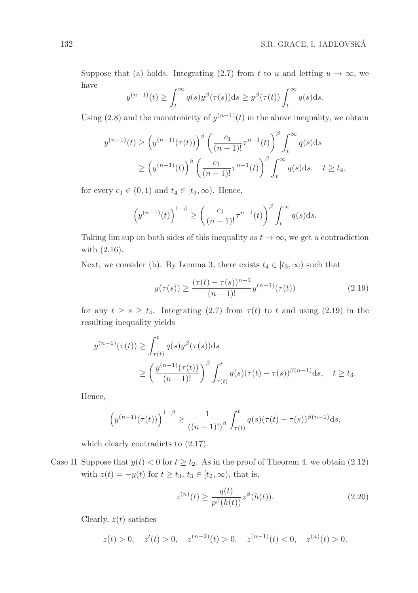Suppose that (a) holds. Integrating (2.7) from t to u and letting  $u \to \infty$ , we have

$$
y^{(n-1)}(t) \ge \int_t^{\infty} q(s)y^{\beta}(\tau(s))ds \ge y^{\beta}(\tau(t)) \int_t^{\infty} q(s)ds.
$$

Using (2.8) and the monotonicity of  $y^{(n-1)}(t)$  in the above inequality, we obtain

$$
y^{(n-1)}(t) \ge \left(y^{(n-1)}(\tau(t))\right)^{\beta} \left(\frac{c_1}{(n-1)!}\tau^{n-1}(t)\right)^{\beta} \int_t^{\infty} q(s)ds
$$
  

$$
\ge \left(y^{(n-1)}(t)\right)^{\beta} \left(\frac{c_1}{(n-1)!}\tau^{n-1}(t)\right)^{\beta} \int_t^{\infty} q(s)ds, \quad t \ge t_4,
$$

for every  $c_1 \in (0,1)$  and  $t_4 \in [t_3,\infty)$ . Hence,

$$
\left(y^{(n-1)}(t)\right)^{1-\beta} \ge \left(\frac{c_1}{(n-1)!}\tau^{n-1}(t)\right)^{\beta} \int_t^{\infty} q(s) \mathrm{d}s.
$$

Taking lim sup on both sides of this inequality as  $t \to \infty$ , we get a contradiction with (2.16).

Next, we consider (b). By Lemma 3, there exists  $t_4 \in [t_3, \infty)$  such that

$$
y(\tau(s)) \ge \frac{(\tau(t) - \tau(s))^{n-1}}{(n-1)!} y^{(n-1)}(\tau(t))
$$
\n(2.19)

for any  $t \geq s \geq t_4$ . Integrating (2.7) from  $\tau(t)$  to t and using (2.19) in the resulting inequality yields

$$
y^{(n-1)}(\tau(t)) \ge \int_{\tau(t)}^t q(s)y^{\beta}(\tau(s))ds
$$
  
 
$$
\ge \left(\frac{y^{(n-1)}(\tau(t))}{(n-1)!}\right)^{\beta} \int_{\tau(t)}^t q(s)(\tau(t) - \tau(s))^{\beta(n-1)}ds, \quad t \ge t_3.
$$

Hence,

$$
\left(y^{(n-1)}(\tau(t))\right)^{1-\beta} \ge \frac{1}{((n-1)!)^{\beta}} \int_{\tau(t)}^{t} q(s) (\tau(t) - \tau(s))^{\beta(n-1)} ds,
$$

which clearly contradicts to (2.17).

Case II Suppose that  $y(t) < 0$  for  $t \geq t_2$ . As in the proof of Theorem 4, we obtain (2.12) with  $z(t) = -y(t)$  for  $t \ge t_3$ ,  $t_3 \in [t_2, \infty)$ , that is,

$$
z^{(n)}(t) \ge \frac{q(t)}{p^{\beta}(h(t))} z^{\beta}(h(t)).
$$
\n(2.20)

Clearly,  $z(t)$  satisfies

$$
z(t) > 0, \quad z'(t) > 0, \quad z^{(n-2)}(t) > 0, \quad z^{(n-1)}(t) < 0, \quad z^{(n)}(t) > 0,
$$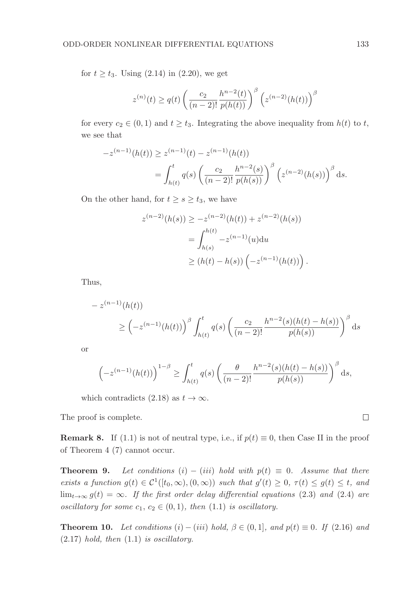for  $t \ge t_3$ . Using (2.14) in (2.20), we get

$$
z^{(n)}(t) \ge q(t) \left(\frac{c_2}{(n-2)!} \frac{h^{n-2}(t)}{p(h(t))}\right)^{\beta} \left(z^{(n-2)}(h(t))\right)^{\beta}
$$

for every  $c_2 \in (0,1)$  and  $t \ge t_3$ . Integrating the above inequality from  $h(t)$  to t, we see that

$$
-z^{(n-1)}(h(t)) \ge z^{(n-1)}(t) - z^{(n-1)}(h(t))
$$
  
= 
$$
\int_{h(t)}^t q(s) \left( \frac{c_2}{(n-2)!} \frac{h^{n-2}(s)}{p(h(s))} \right)^\beta \left( z^{(n-2)}(h(s)) \right)^\beta ds.
$$

On the other hand, for  $t \geq s \geq t_3$ , we have

$$
z^{(n-2)}(h(s)) \ge -z^{(n-2)}(h(t)) + z^{(n-2)}(h(s))
$$
  
= 
$$
\int_{h(s)}^{h(t)} -z^{(n-1)}(u)du
$$
  

$$
\ge (h(t) - h(s)) \left(-z^{(n-1)}(h(t))\right).
$$

Thus,

$$
- z^{(n-1)}(h(t))
$$
  
\n
$$
\geq \left(-z^{(n-1)}(h(t))\right)^{\beta} \int_{h(t)}^{t} q(s) \left(\frac{c_2}{(n-2)!} \frac{h^{n-2}(s)(h(t) - h(s))}{p(h(s))}\right)^{\beta} ds
$$

or

$$
\left(-z^{(n-1)}(h(t))\right)^{1-\beta} \ge \int_{h(t)}^t q(s) \left(\frac{\theta}{(n-2)!} \frac{h^{n-2}(s)(h(t)-h(s))}{p(h(s))}\right)^{\beta} ds,
$$

which contradicts (2.18) as  $t \to \infty$ .

The proof is complete.

**Remark 8.** If (1.1) is not of neutral type, i.e., if  $p(t) \equiv 0$ , then Case II in the proof of Theorem 4 (7) cannot occur.

**Theorem 9.** Let conditions (i) – (iii) hold with  $p(t) \equiv 0$ . Assume that there exists a function  $g(t) \in C^1([t_0,\infty), (0,\infty))$  such that  $g'(t) \geq 0, \tau(t) \leq g(t) \leq t$ , and  $\lim_{t\to\infty} g(t) = \infty$ . If the first order delay differential equations (2.3) and (2.4) are oscillatory for some  $c_1, c_2 \in (0, 1)$ , then  $(1.1)$  is oscillatory.

**Theorem 10.** Let conditions (i) – (iii) hold,  $\beta \in (0,1]$ , and  $p(t) \equiv 0$ . If (2.16) and  $(2.17)$  hold, then  $(1.1)$  is oscillatory.

 $\Box$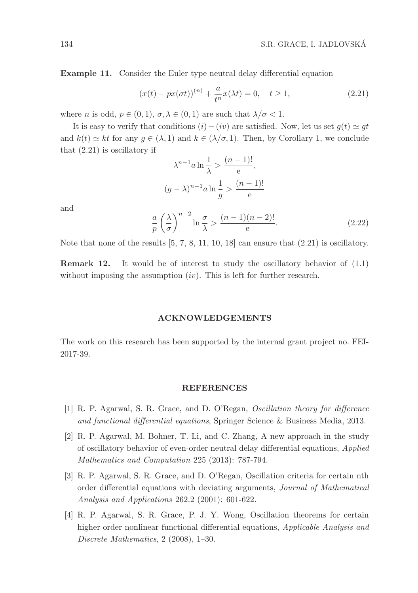Example 11. Consider the Euler type neutral delay differential equation

$$
(x(t) - px(\sigma t))^{(n)} + \frac{a}{t^n}x(\lambda t) = 0, \quad t \ge 1,
$$
\n(2.21)

where *n* is odd,  $p \in (0, 1)$ ,  $\sigma, \lambda \in (0, 1)$  are such that  $\lambda/\sigma < 1$ .

It is easy to verify that conditions  $(i)-(iv)$  are satisfied. Now, let us set  $g(t) \simeq gt$ and  $k(t) \simeq kt$  for any  $g \in (\lambda, 1)$  and  $k \in (\lambda/\sigma, 1)$ . Then, by Corollary 1, we conclude that (2.21) is oscillatory if

$$
\lambda^{n-1}a \ln \frac{1}{\lambda} > \frac{(n-1)!}{e},
$$
\n
$$
(g - \lambda)^{n-1}a \ln \frac{1}{g} > \frac{(n-1)!}{e}
$$

and

$$
\frac{a}{p} \left(\frac{\lambda}{\sigma}\right)^{n-2} \ln \frac{\sigma}{\lambda} > \frac{(n-1)(n-2)!}{e}. \tag{2.22}
$$

Note that none of the results  $[5, 7, 8, 11, 10, 18]$  can ensure that  $(2.21)$  is oscillatory.

Remark 12. It would be of interest to study the oscillatory behavior of (1.1) without imposing the assumption  $(iv)$ . This is left for further research.

### ACKNOWLEDGEMENTS

The work on this research has been supported by the internal grant project no. FEI-2017-39.

#### REFERENCES

- [1] R. P. Agarwal, S. R. Grace, and D. O'Regan, Oscillation theory for difference and functional differential equations, Springer Science & Business Media, 2013.
- [2] R. P. Agarwal, M. Bohner, T. Li, and C. Zhang, A new approach in the study of oscillatory behavior of even-order neutral delay differential equations, Applied Mathematics and Computation 225 (2013): 787-794.
- [3] R. P. Agarwal, S. R. Grace, and D. O'Regan, Oscillation criteria for certain nth order differential equations with deviating arguments, Journal of Mathematical Analysis and Applications 262.2 (2001): 601-622.
- [4] R. P. Agarwal, S. R. Grace, P. J. Y. Wong, Oscillation theorems for certain higher order nonlinear functional differential equations, *Applicable Analysis and* Discrete Mathematics, 2 (2008), 1–30.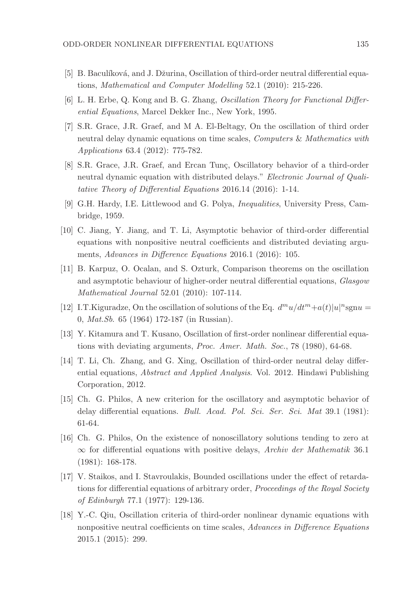- [5] B. Baculíková, and J. Džurina, Oscillation of third-order neutral differential equations, Mathematical and Computer Modelling 52.1 (2010): 215-226.
- [6] L. H. Erbe, Q. Kong and B. G. Zhang, Oscillation Theory for Functional Differential Equations, Marcel Dekker Inc., New York, 1995.
- [7] S.R. Grace, J.R. Graef, and M A. El-Beltagy, On the oscillation of third order neutral delay dynamic equations on time scales, *Computers & Mathematics with* Applications 63.4 (2012): 775-782.
- [8] S.R. Grace, J.R. Graef, and Ercan Tunç, Oscillatory behavior of a third-order neutral dynamic equation with distributed delays." Electronic Journal of Qualitative Theory of Differential Equations 2016.14 (2016): 1-14.
- [9] G.H. Hardy, I.E. Littlewood and G. Polya, Inequalities, University Press, Cambridge, 1959.
- [10] C. Jiang, Y. Jiang, and T. Li, Asymptotic behavior of third-order differential equations with nonpositive neutral coefficients and distributed deviating arguments, Advances in Difference Equations 2016.1 (2016): 105.
- [11] B. Karpuz, O. Ocalan, and S. Ozturk, Comparison theorems on the oscillation and asymptotic behaviour of higher-order neutral differential equations, Glasgow Mathematical Journal 52.01 (2010): 107-114.
- [12] I.T.Kiguradze, On the oscillation of solutions of the Eq.  $d^m u/dt^m + a(t)|u|^n$ sgnu = 0, Mat.Sb. 65 (1964) 172-187 (in Russian).
- [13] Y. Kitamura and T. Kusano, Oscillation of first-order nonlinear differential equations with deviating arguments, Proc. Amer. Math. Soc., 78 (1980), 64-68.
- [14] T. Li, Ch. Zhang, and G. Xing, Oscillation of third-order neutral delay differential equations, Abstract and Applied Analysis. Vol. 2012. Hindawi Publishing Corporation, 2012.
- [15] Ch. G. Philos, A new criterion for the oscillatory and asymptotic behavior of delay differential equations. Bull. Acad. Pol. Sci. Ser. Sci. Mat 39.1 (1981): 61-64.
- [16] Ch. G. Philos, On the existence of nonoscillatory solutions tending to zero at  $\infty$  for differential equations with positive delays, Archiv der Mathematik 36.1 (1981): 168-178.
- [17] V. Staikos, and I. Stavroulakis, Bounded oscillations under the effect of retardations for differential equations of arbitrary order, Proceedings of the Royal Society of Edinburgh 77.1 (1977): 129-136.
- [18] Y.-C. Qiu, Oscillation criteria of third-order nonlinear dynamic equations with nonpositive neutral coefficients on time scales, Advances in Difference Equations 2015.1 (2015): 299.